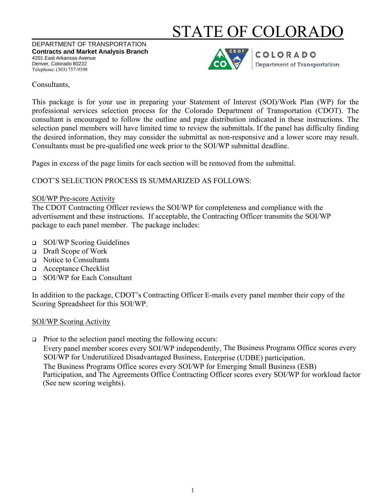# STATE OF COLORADO

DEPARTMENT OF TRANSPORTATION **Contracts and Market Analysis Branch** 4201 East Arkansas Avenue Denver, Colorado 80222 Telephone: (303) 757-9398



**COLORADO Department of Transportation** 

### Consultants,

This package is for your use in preparing your Statement of Interest (SOI)/Work Plan (WP) for the professional services selection process for the Colorado Department of Transportation (CDOT). The consultant is encouraged to follow the outline and page distribution indicated in these instructions. The selection panel members will have limited time to review the submittals. If the panel has difficulty finding the desired information, they may consider the submittal as non-responsive and a lower score may result. Consultants must be pre-qualified one week prior to the SOI/WP submittal deadline.

Pages in excess of the page limits for each section will be removed from the submittal.

CDOT'S SELECTION PROCESS IS SUMMARIZED AS FOLLOWS:

### SOI/WP Pre-score Activity

The CDOT Contracting Officer reviews the SOI/WP for completeness and compliance with the advertisement and these instructions. If acceptable, the Contracting Officer transmits the SOI/WP package to each panel member. The package includes:

- □ SOI/WP Scoring Guidelines
- Draft Scope of Work
- Notice to Consultants
- Acceptance Checklist
- SOI/WP for Each Consultant

In addition to the package, CDOT's Contracting Officer E-mails every panel member their copy of the Scoring Spreadsheet for this SOI/WP.

## SOI/WP Scoring Activity

 $\Box$  Prior to the selection panel meeting the following occurs:

Every panel member scores every SOI/WP independently, The Business Programs Office scores every SOI/WP for Underutilized Disadvantaged Business, Enterprise (UDBE) participation. The Business Programs Office scores every SOI/WP for Emerging Small Business (ESB) Participation, and The Agreements Office Contracting Officer scores every SOI/WP for workload factor (See new scoring weights).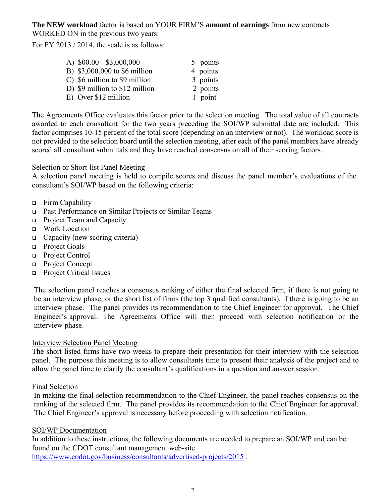**The NEW workload** factor is based on YOUR FIRM'S **amount of earnings** from new contracts WORKED ON in the previous two years:

For FY 2013 / 2014, the scale is as follows:

| A) $$00.00 - $3,000,000$                | 5 points |
|-----------------------------------------|----------|
| B) \$3,000,000 to \$6 million           | 4 points |
| $\degree$ C) \$6 million to \$9 million | 3 points |
| D) \$9 million to \$12 million          | 2 points |
| E) Over \$12 million                    | 1 point  |
|                                         |          |

The Agreements Office evaluates this factor prior to the selection meeting. The total value of all contracts awarded to each consultant for the two years preceding the SOI/WP submittal date are included. This factor comprises 10-15 percent of the total score (depending on an interview or not). The workload score is not provided to the selection board until the selection meeting, after each of the panel members have already scored all consultant submittals and they have reached consensus on all of their scoring factors.

#### Selection or Short-list Panel Meeting

A selection panel meeting is held to compile scores and discuss the panel member's evaluations of the consultant's SOI/WP based on the following criteria:

- Firm Capability
- Past Performance on Similar Projects or Similar Teams
- **Project Team and Capacity**
- □ Work Location
- $\Box$  Capacity (new scoring criteria)
- □ Project Goals
- Project Control
- Project Concept
- □ Project Critical Issues

The selection panel reaches a consensus ranking of either the final selected firm, if there is not going to be an interview phase, or the short list of firms (the top 3 qualified consultants), if there is going to be an interview phase. The panel provides its recommendation to the Chief Engineer for approval. The Chief Engineer's approval. The Agreements Office will then proceed with selection notification or the interview phase.

#### Interview Selection Panel Meeting

The short listed firms have two weeks to prepare their presentation for their interview with the selection panel. The purpose this meeting is to allow consultants time to present their analysis of the project and to allow the panel time to clarify the consultant's qualifications in a question and answer session.

#### Final Selection

In making the final selection recommendation to the Chief Engineer, the panel reaches consensus on the ranking of the selected firm. The panel provides its recommendation to the Chief Engineer for approval. The Chief Engineer's approval is necessary before proceeding with selection notification.

#### SOI/WP Documentation

In addition to these instructions, the following documents are needed to prepare an SOI/WP and can be found on the CDOT consultant management web-site https://www.codot.gov/business/consultants/advertised-projects/2015 :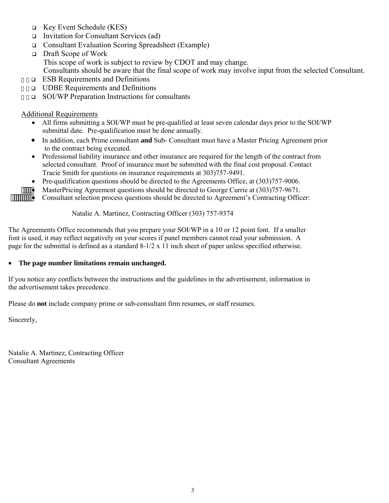- Key Event Schedule (KES)
- **Invitation for Consultant Services (ad)**
- Consultant Evaluation Scoring Spreadsheet (Example)
- Draft Scope of Work This scope of work is subject to review by CDOT and may change. Consultants should be aware that the final scope of work may involve input from the selected Consultant.
- $\overline{\phantom{a}}$  ESB Requirements and Definitions
- $\cdots$  UDBE Requirements and Definitions
- $\Box$  SOI/WP Preparation Instructions for consultants

#### Additional Requirements

- All firms submitting a SOI/WP must be pre-qualified at least seven calendar days prior to the SOI/WP submittal date. Pre-qualification must be done annually.
- In addition, each Prime consultant **and** Sub- Consultant must have a Master Pricing Agreement prior to the contract being executed.
- Professional liability insurance and other insurance are required for the length of the contract from selected consultant. Proof of insurance must be submitted with the final cost proposal. Contact Tracie Smith for questions on insurance requirements at 303)757-9491.
- Pre-qualification questions should be directed to the Agreements Office, at (303)757-9006.
- **HILLET MasterPricing Agreement questions should be directed to George Currie at (303) 757-9671.**<br> **HILLET CONSULTER CONSULTER CONSULTER CONSULTER CONSULTER CONSULTER CONSULTER CONSULTER CONSULTER CONSULTER**

Consultant selection process questions should be directed to Agreement's Contracting Officer:

#### Natalie A. Martinez, Contracting Officer (303) 757-9374

The Agreements Office recommends that you prepare your SOI/WP in a 10 or 12 point font. If a smaller font is used, it may reflect negatively on your scores if panel members cannot read your submission. A page for the submittal is defined as a standard 8-1/2 x 11 inch sheet of paper unless specified otherwise.

#### **The page number limitations remain unchanged.**

If you notice any conflicts between the instructions and the guidelines in the advertisement, information in the advertisement takes precedence.

Please do **not** include company prime or sub-consultant firm resumes, or staff resumes.

Sincerely,

Natalie A. Martinez, Contracting Officer Consultant Agreements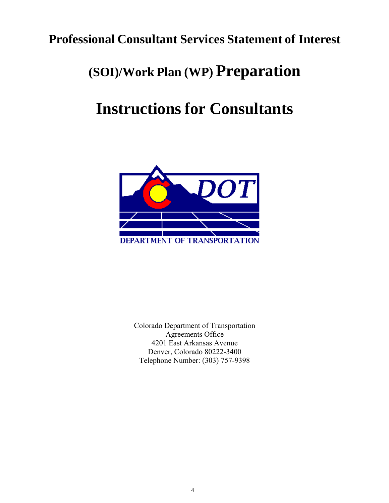# **Professional Consultant Services Statement of Interest**

# **(SOI)/Work Plan (WP) Preparation**

# **Instructions for Consultants**



Colorado Department of Transportation Agreements Office 4201 East Arkansas Avenue Denver, Colorado 80222-3400 Telephone Number: (303) 757-9398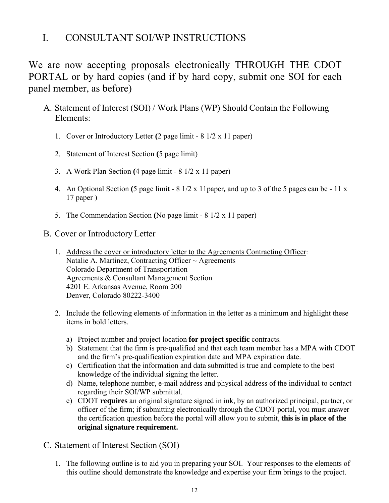# I. CONSULTANT SOI/WP INSTRUCTIONS

We are now accepting proposals electronically THROUGH THE CDOT PORTAL or by hard copies (and if by hard copy, submit one SOI for each panel member, as before)

- A. Statement of Interest (SOI) / Work Plans (WP) Should Contain the Following Elements:
	- 1. Cover or Introductory Letter **(**2 page limit 8 1/2 x 11 paper)
	- 2. Statement of Interest Section **(**5 page limit)
	- 3. A Work Plan Section **(**4 page limit 8 1/2 x 11 paper)
	- 4. An Optional Section **(**5 page limit 8 1/2 x 11paper**,** and up to 3 of the 5 pages can be 11 x 17 paper )
	- 5. The Commendation Section **(**No page limit 8 1/2 x 11 paper)
- B. Cover or Introductory Letter
	- 1. Address the cover or introductory letter to the Agreements Contracting Officer: Natalie A. Martinez, Contracting Officer  $\sim$  Agreements Colorado Department of Transportation Agreements & Consultant Management Section 4201 E. Arkansas Avenue, Room 200 Denver, Colorado 80222-3400
	- 2. Include the following elements of information in the letter as a minimum and highlight these items in bold letters.
		- a) Project number and project location **for project specific** contracts.
		- b) Statement that the firm is pre-qualified and that each team member has a MPA with CDOT and the firm's pre-qualification expiration date and MPA expiration date.
		- c) Certification that the information and data submitted is true and complete to the best knowledge of the individual signing the letter.
		- d) Name, telephone number, e-mail address and physical address of the individual to contact regarding their SOI/WP submittal.
		- e) CDOT **requires** an original signature signed in ink, by an authorized principal, partner, or officer of the firm; if submitting electronically through the CDOT portal, you must answer the certification question before the portal will allow you to submit, **this is in place of the original signature requirement.**
- C. Statement of Interest Section (SOI)
	- 1. The following outline is to aid you in preparing your SOI. Your responses to the elements of this outline should demonstrate the knowledge and expertise your firm brings to the project.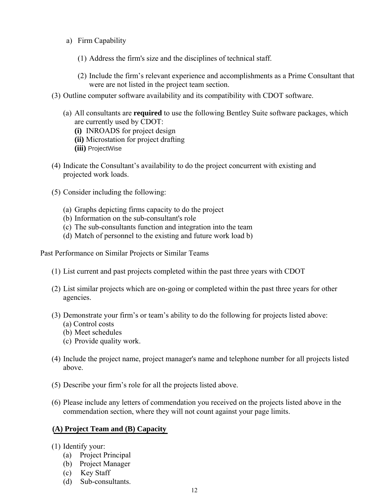- a) Firm Capability
	- (1) Address the firm's size and the disciplines of technical staff.
	- (2) Include the firm's relevant experience and accomplishments as a Prime Consultant that were are not listed in the project team section.
- (3) Outline computer software availability and its compatibility with CDOT software.
	- (a) All consultants are **required** to use the following Bentley Suite software packages, which are currently used by CDOT:
		- **(i)** INROADS for project design
		- **(ii)** Microstation for project drafting
		- **(iii)** ProjectWise
- (4) Indicate the Consultant's availability to do the project concurrent with existing and projected work loads.
- (5) Consider including the following:
	- (a) Graphs depicting firms capacity to do the project
	- (b) Information on the sub-consultant's role
	- (c) The sub-consultants function and integration into the team
	- (d) Match of personnel to the existing and future work load b)

Past Performance on Similar Projects or Similar Teams

- (1) List current and past projects completed within the past three years with CDOT
- (2) List similar projects which are on-going or completed within the past three years for other agencies.
- (3) Demonstrate your firm's or team's ability to do the following for projects listed above:
	- (a) Control costs
	- (b) Meet schedules
	- (c) Provide quality work.
- (4) Include the project name, project manager's name and telephone number for all projects listed above.
- (5) Describe your firm's role for all the projects listed above.
- (6) Please include any letters of commendation you received on the projects listed above in the commendation section, where they will not count against your page limits.

## **(A) Project Team and (B) Capacity**

- (1) Identify your:
	- (a) Project Principal
	- (b) Project Manager
	- (c) Key Staff
	- (d) Sub-consultants.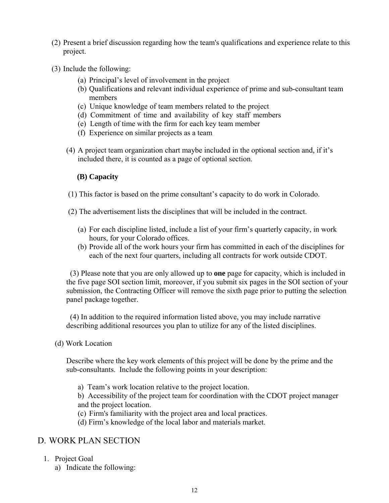- (2) Present a brief discussion regarding how the team's qualifications and experience relate to this project.
- (3) Include the following:
	- (a) Principal's level of involvement in the project
	- (b) Qualifications and relevant individual experience of prime and sub-consultant team members
	- (c) Unique knowledge of team members related to the project
	- (d) Commitment of time and availability of key staff members
	- (e) Length of time with the firm for each key team member
	- (f) Experience on similar projects as a team
	- (4) A project team organization chart maybe included in the optional section and, if it's included there, it is counted as a page of optional section.

### **(B) Capacity**

- (1) This factor is based on the prime consultant's capacity to do work in Colorado.
- (2) The advertisement lists the disciplines that will be included in the contract.
	- (a) For each discipline listed, include a list of your firm's quarterly capacity, in work hours, for your Colorado offices.
	- (b) Provide all of the work hours your firm has committed in each of the disciplines for each of the next four quarters, including all contracts for work outside CDOT.

(3) Please note that you are only allowed up to **one** page for capacity, which is included in the five page SOI section limit, moreover, if you submit six pages in the SOI section of your submission, the Contracting Officer will remove the sixth page prior to putting the selection panel package together.

(4) In addition to the required information listed above, you may include narrative describing additional resources you plan to utilize for any of the listed disciplines.

(d) Work Location

Describe where the key work elements of this project will be done by the prime and the sub-consultants. Include the following points in your description:

a) Team's work location relative to the project location.

b) Accessibility of the project team for coordination with the CDOT project manager and the project location.

- (c) Firm's familiarity with the project area and local practices.
- (d) Firm's knowledge of the local labor and materials market.

## D. WORK PLAN SECTION

- 1. Project Goal
	- a) Indicate the following: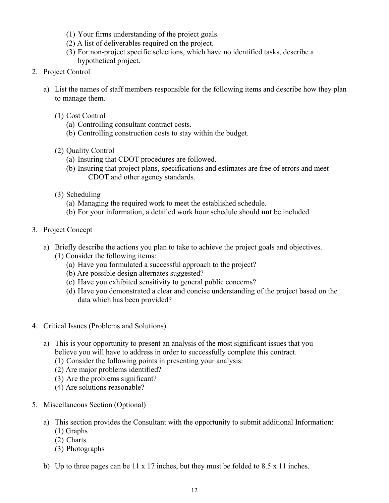- (1) Your firms understanding of the project goals.
- (2) A list of deliverables required on the project.
- (3) For non-project specific selections, which have no identified tasks, describe a hypothetical project.
- 2. Project Control
	- a) List the names of staff members responsible for the following items and describe how they plan to manage them.
		- (1) Cost Control
			- (a) Controlling consultant contract costs.
			- (b) Controlling construction costs to stay within the budget.
		- (2) Quality Control
			- (a) Insuring that CDOT procedures are followed.
			- (b) Insuring that project plans, specifications and estimates are free of errors and meet CDOT and other agency standards.
		- (3) Scheduling
			- (a) Managing the required work to meet the established schedule.
			- (b) For your information, a detailed work hour schedule should **not** be included.
- 3. Project Concept
	- a) Briefly describe the actions you plan to take to achieve the project goals and objectives.
		- (1) Consider the following items:
			- (a) Have you formulated a successful approach to the project?
			- (b) Are possible design alternates suggested?
			- (c) Have you exhibited sensitivity to general public concerns?
			- (d) Have you demonstrated a clear and concise understanding of the project based on the data which has been provided?
- 4. Critical Issues (Problems and Solutions)
	- a) This is your opportunity to present an analysis of the most significant issues that you believe you will have to address in order to successfully complete this contract.
		- (1) Consider the following points in presenting your analysis:
		- (2) Are major problems identified?
		- (3) Are the problems significant?
		- (4) Are solutions reasonable?
- 5. Miscellaneous Section (Optional)
	- a) This section provides the Consultant with the opportunity to submit additional Information: (1) Graphs
		- (2) Charts
		- (3) Photographs
	- b) Up to three pages can be 11 x 17 inches, but they must be folded to 8.5 x 11 inches.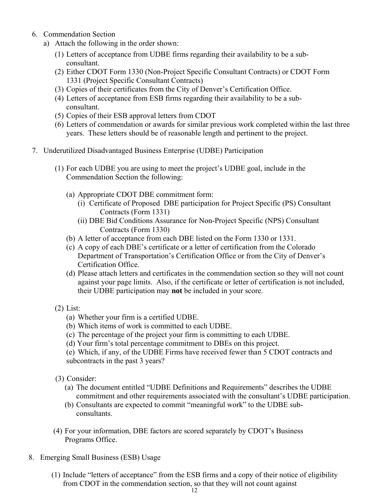- 6. Commendation Section
	- a) Attach the following in the order shown:
		- (1) Letters of acceptance from UDBE firms regarding their availability to be a subconsultant.
		- (2) Either CDOT Form 1330 (Non-Project Specific Consultant Contracts) or CDOT Form 1331 (Project Specific Consultant Contracts)
		- (3) Copies of their certificates from the City of Denver's Certification Office.
		- (4) Letters of acceptance from ESB firms regarding their availability to be a subconsultant.
		- (5) Copies of their ESB approval letters from CDOT
		- (6) Letters of commendation or awards for similar previous work completed within the last three years. These letters should be of reasonable length and pertinent to the project.
- 7. Underutilized Disadvantaged Business Enterprise (UDBE) Participation
	- (1) For each UDBE you are using to meet the project's UDBE goal, include in the Commendation Section the following:
		- (a) Appropriate CDOT DBE commitment form:
			- (i) Certificate of Proposed DBE participation for Project Specific (PS) Consultant Contracts (Form 1331)
			- (ii) DBE Bid Conditions Assurance for Non-Project Specific (NPS) Consultant Contracts (Form 1330)
		- (b) A letter of acceptance from each DBE listed on the Form 1330 or 1331.
		- (c) A copy of each DBE's certificate or a letter of certification from the Colorado Department of Transportation's Certification Office or from the City of Denver's Certification Office.
		- (d) Please attach letters and certificates in the commendation section so they will not count against your page limits. Also, if the certificate or letter of certification is not included, their UDBE participation may **not** be included in your score.
	- (2) List:
		- (a) Whether your firm is a certified UDBE.
		- (b) Which items of work is committed to each UDBE.
		- (c) The percentage of the project your firm is committing to each UDBE.
		- (d) Your firm's total percentage commitment to DBEs on this project.

(e) Which, if any, of the UDBE Firms have received fewer than 5 CDOT contracts and subcontracts in the past 3 years?

- (3) Consider:
	- (a) The document entitled "UDBE Definitions and Requirements" describes the UDBE commitment and other requirements associated with the consultant's UDBE participation.
	- (b) Consultants are expected to commit "meaningful work" to the UDBE sub consultants.
- (4) For your information, DBE factors are scored separately by CDOT's Business Programs Office.
- 8. Emerging Small Business (ESB) Usage
	- (1) Include "letters of acceptance" from the ESB firms and a copy of their notice of eligibility from CDOT in the commendation section, so that they will not count against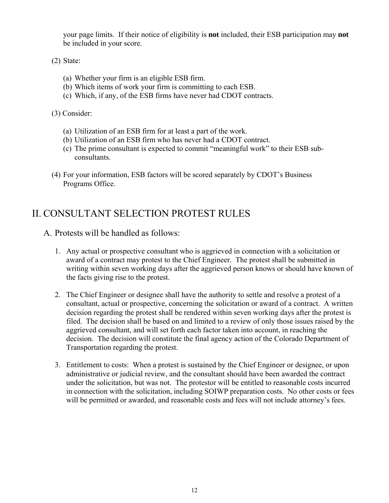your page limits. If their notice of eligibility is **not** included, their ESB participation may **not**  be included in your score.

(2) State:

- (a) Whether your firm is an eligible ESB firm.
- (b) Which items of work your firm is committing to each ESB.
- (c) Which, if any, of the ESB firms have never had CDOT contracts.

(3) Consider:

- (a) Utilization of an ESB firm for at least a part of the work.
- (b) Utilization of an ESB firm who has never had a CDOT contract.
- (c) The prime consultant is expected to commit "meaningful work" to their ESB subconsultants.
- (4) For your information, ESB factors will be scored separately by CDOT's Business Programs Office.

# II. CONSULTANT SELECTION PROTEST RULES

- A. Protests will be handled as follows:
	- 1. Any actual or prospective consultant who is aggrieved in connection with a solicitation or award of a contract may protest to the Chief Engineer. The protest shall be submitted in writing within seven working days after the aggrieved person knows or should have known of the facts giving rise to the protest.
	- 2. The Chief Engineer or designee shall have the authority to settle and resolve a protest of a consultant, actual or prospective, concerning the solicitation or award of a contract. A written decision regarding the protest shall be rendered within seven working days after the protest is filed. The decision shall be based on and limited to a review of only those issues raised by the aggrieved consultant, and will set forth each factor taken into account, in reaching the decision. The decision will constitute the final agency action of the Colorado Department of Transportation regarding the protest.
	- 3. Entitlement to costs: When a protest is sustained by the Chief Engineer or designee, or upon administrative or judicial review, and the consultant should have been awarded the contract under the solicitation, but was not. The protestor will be entitled to reasonable costs incurred in connection with the solicitation, including SOIWP preparation costs. No other costs or fees will be permitted or awarded, and reasonable costs and fees will not include attorney's fees.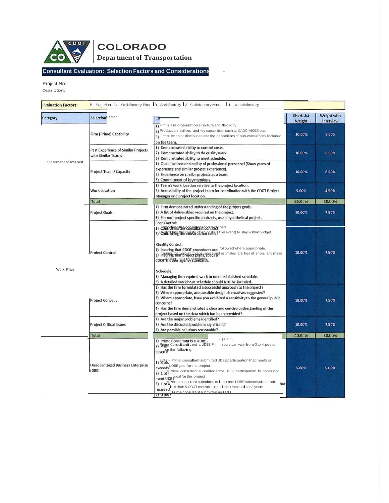

## **Consultant Evaluation: Selection Factors and Considerations** -

Project No:

Description:

| <b>Evaluation Factors:</b> |                                                           | 5 - Superior   4 - Satisfactory Plus   3 - Satisfactory   2 - Satisfactory Minus   1 - Unsatisfactory                                                                                                                                                                                                                                                                                                                                                                                                                                                                                                         |                             |                                 |
|----------------------------|-----------------------------------------------------------|---------------------------------------------------------------------------------------------------------------------------------------------------------------------------------------------------------------------------------------------------------------------------------------------------------------------------------------------------------------------------------------------------------------------------------------------------------------------------------------------------------------------------------------------------------------------------------------------------------------|-----------------------------|---------------------------------|
| Category                   | <b>SelectionFactor</b>                                    | Co                                                                                                                                                                                                                                                                                                                                                                                                                                                                                                                                                                                                            | <b>Short List</b><br>Weight | Weight with<br><b>Interview</b> |
| Statement of Interest      | Firm (Prime) Capability                                   | 1) Firm's size, organization structure and flexibility.<br>2) Production facilities and key capabilities such as CAOO, MOSS, etc.<br>3) Firm's technicaldisciplines and the capabilities of sub-consultants included<br>on the team.                                                                                                                                                                                                                                                                                                                                                                          | 10.00%                      | 8.50%                           |
|                            | Past Experience of Similar Projects<br>with Similar Teams | 1) Demonstrated ability to control costs.<br>2) Demonstrated ability to do quality work.<br>3) Demonstrated ability to meet schedule.                                                                                                                                                                                                                                                                                                                                                                                                                                                                         | 10.00%                      | 8.50%                           |
|                            | <b>Project Team / Capacity</b>                            | 1) Qualifications and ability of professional personnel (Show years of<br>experience and similar project experience).<br>2) Experience on similar projects as a team.<br>3) Commitment of key members.                                                                                                                                                                                                                                                                                                                                                                                                        | 10.00%                      | 8.50%                           |
|                            | <b>Work Location</b>                                      | 1) Team's work location relative to the project location.<br>2) Accessibility of the project team for coordination with the CDOT Project<br>Manager and project location.                                                                                                                                                                                                                                                                                                                                                                                                                                     | 5.00%                       | 4.50%                           |
|                            | <b>Total</b>                                              |                                                                                                                                                                                                                                                                                                                                                                                                                                                                                                                                                                                                               | 35.00%                      | 30.00%                          |
| Work Plan                  | <b>Project Goals</b>                                      | 1) Firm demonstrated understanding of the project goals.<br>2) A list of deliverables required on the project.<br>3) For non-project specific contracts, use a hypothetical project.<br><b>Cost Control:</b>                                                                                                                                                                                                                                                                                                                                                                                                  | 10.00%                      | 7.50%                           |
|                            | <b>Project Control</b>                                    | 1) CONTrolling the consultant contracticosts<br>2) Controlling the construction costs (If relevant) to stay within budget.<br><b>Quality Control:</b><br>1) Insuring that CDOT procedures are followed where appropriate.<br>2) Insuring that project plans, speeding estimates are free of errors and meet<br>CDOT & Utfler <del>agency standards</del> .<br>Schedule:<br>1) Managing the required work to meet established schedule.<br>2) A detailed work hour schedule should NOT be included.                                                                                                            | 10.00%                      | 7.50%                           |
|                            | <b>Project Concept</b>                                    | 1) Has the firm formulated a successful approach to the project?<br>2) Where appropriate, are possible design alternatives suggested?<br>3) Where appropriate, have you exhibited a sensitivity to the general public<br>concerns?<br>4) Has the firm demonstrated a clear and concise understanding of the<br>project based on the data which has been provided?                                                                                                                                                                                                                                             | 10.00%                      | 7.50%                           |
|                            | <b>Project Critical Issues</b>                            | 1) Are the major problems identified?<br>2) Are the discussed problems significant?<br>3) Are possible solutions reasonable?                                                                                                                                                                                                                                                                                                                                                                                                                                                                                  | 10.00%                      | 7.50%                           |
|                            | <b>Total</b>                                              |                                                                                                                                                                                                                                                                                                                                                                                                                                                                                                                                                                                                               | 40.00%                      | 30.00%                          |
|                            | <b>Disadvantaged Business Enterprise</b><br>(DBE)         | S points<br>1) Prime Consultant is a UDBE -<br>2) Prime Consultantis not a UDBE Firm - score can vary from 0 to 4 points<br>based <sup>on the</sup> following:<br>3 Prime consultant submitted UDBE participation that meets or<br>exceeds UOBE goal for the project<br>2) 1 pt <sup>=</sup> Prime consultant submitted some UOBE participation, but does not<br>meet UDBE <sup>goal for the</sup> project<br>3) 1 $pt = Pr$ ime consultant submitted at least one UDBE subconsultant that<br>has<br>received ess than 5 COOT contracts or subcontracts In last 3 years<br>Prime consultant submitted no UDBE | 5.00%                       | 5.00%                           |